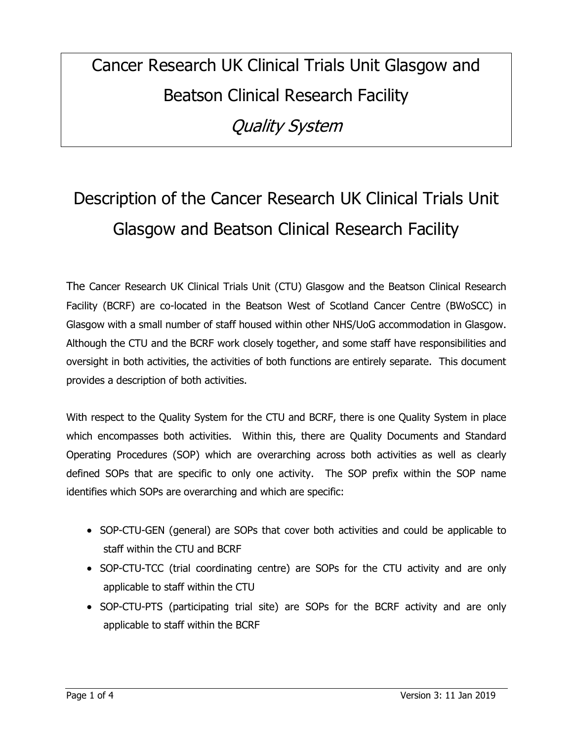# Cancer Research UK Clinical Trials Unit Glasgow and Beatson Clinical Research Facility Quality System

# Description of the Cancer Research UK Clinical Trials Unit Glasgow and Beatson Clinical Research Facility

The Cancer Research UK Clinical Trials Unit (CTU) Glasgow and the Beatson Clinical Research Facility (BCRF) are co-located in the Beatson West of Scotland Cancer Centre (BWoSCC) in Glasgow with a small number of staff housed within other NHS/UoG accommodation in Glasgow. Although the CTU and the BCRF work closely together, and some staff have responsibilities and oversight in both activities, the activities of both functions are entirely separate. This document provides a description of both activities.

With respect to the Quality System for the CTU and BCRF, there is one Quality System in place which encompasses both activities. Within this, there are Quality Documents and Standard Operating Procedures (SOP) which are overarching across both activities as well as clearly defined SOPs that are specific to only one activity. The SOP prefix within the SOP name identifies which SOPs are overarching and which are specific:

- SOP-CTU-GEN (general) are SOPs that cover both activities and could be applicable to staff within the CTU and BCRF
- SOP-CTU-TCC (trial coordinating centre) are SOPs for the CTU activity and are only applicable to staff within the CTU
- SOP-CTU-PTS (participating trial site) are SOPs for the BCRF activity and are only applicable to staff within the BCRF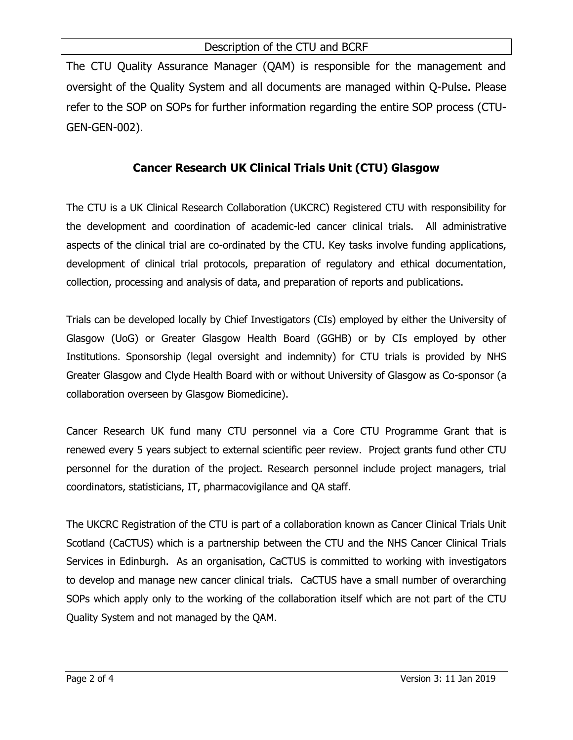#### Description of the CTU and BCRF

The CTU Quality Assurance Manager (QAM) is responsible for the management and oversight of the Quality System and all documents are managed within Q-Pulse. Please refer to the SOP on SOPs for further information regarding the entire SOP process (CTU-GEN-GEN-002).

### **Cancer Research UK Clinical Trials Unit (CTU) Glasgow**

The CTU is a UK Clinical Research Collaboration (UKCRC) Registered CTU with responsibility for the development and coordination of academic-led cancer clinical trials. All administrative aspects of the clinical trial are co-ordinated by the CTU. Key tasks involve funding applications, development of clinical trial protocols, preparation of regulatory and ethical documentation, collection, processing and analysis of data, and preparation of reports and publications.

Trials can be developed locally by Chief Investigators (CIs) employed by either the University of Glasgow (UoG) or Greater Glasgow Health Board (GGHB) or by CIs employed by other Institutions. Sponsorship (legal oversight and indemnity) for CTU trials is provided by NHS Greater Glasgow and Clyde Health Board with or without University of Glasgow as Co-sponsor (a collaboration overseen by Glasgow Biomedicine).

Cancer Research UK fund many CTU personnel via a Core CTU Programme Grant that is renewed every 5 years subject to external scientific peer review. Project grants fund other CTU personnel for the duration of the project. Research personnel include project managers, trial coordinators, statisticians, IT, pharmacovigilance and QA staff.

The UKCRC Registration of the CTU is part of a collaboration known as Cancer Clinical Trials Unit Scotland (CaCTUS) which is a partnership between the CTU and the NHS Cancer Clinical Trials Services in Edinburgh. As an organisation, CaCTUS is committed to working with investigators to develop and manage new cancer clinical trials. CaCTUS have a small number of overarching SOPs which apply only to the working of the collaboration itself which are not part of the CTU Quality System and not managed by the QAM.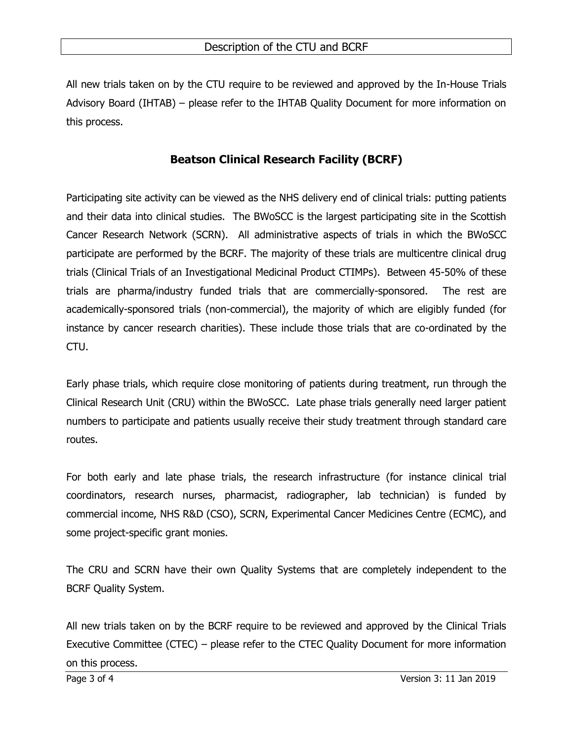All new trials taken on by the CTU require to be reviewed and approved by the In-House Trials Advisory Board (IHTAB) – please refer to the IHTAB Quality Document for more information on this process.

#### **Beatson Clinical Research Facility (BCRF)**

Participating site activity can be viewed as the NHS delivery end of clinical trials: putting patients and their data into clinical studies. The BWoSCC is the largest participating site in the Scottish Cancer Research Network (SCRN). All administrative aspects of trials in which the BWoSCC participate are performed by the BCRF. The majority of these trials are multicentre clinical drug trials (Clinical Trials of an Investigational Medicinal Product CTIMPs). Between 45-50% of these trials are pharma/industry funded trials that are commercially-sponsored. The rest are academically-sponsored trials (non-commercial), the majority of which are eligibly funded (for instance by cancer research charities). These include those trials that are co-ordinated by the CTU.

Early phase trials, which require close monitoring of patients during treatment, run through the Clinical Research Unit (CRU) within the BWoSCC. Late phase trials generally need larger patient numbers to participate and patients usually receive their study treatment through standard care routes.

For both early and late phase trials, the research infrastructure (for instance clinical trial coordinators, research nurses, pharmacist, radiographer, lab technician) is funded by commercial income, NHS R&D (CSO), SCRN, Experimental Cancer Medicines Centre (ECMC), and some project-specific grant monies.

The CRU and SCRN have their own Quality Systems that are completely independent to the BCRF Quality System.

All new trials taken on by the BCRF require to be reviewed and approved by the Clinical Trials Executive Committee (CTEC) – please refer to the CTEC Quality Document for more information on this process.